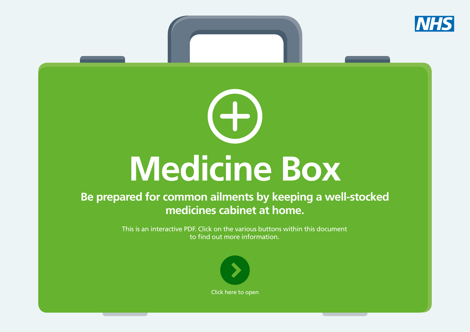

# **Medicine Box**

 $\left( -\right)$ 

# **Be prepared for common ailments by keeping a well-stocked medicines cabinet at home.**

This is an interactive PDF. Click on the various buttons within this document to find out more information.

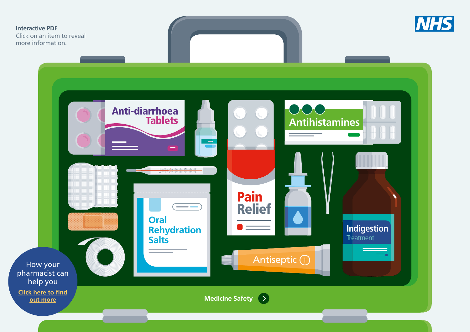<span id="page-1-0"></span>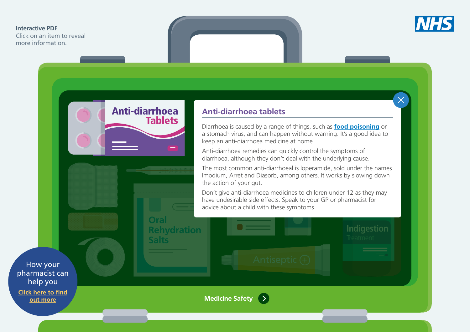<span id="page-2-0"></span>Click on an item to reveal more information.



## **Anti-diarrhoea tablets**

Anti-diarrhoea

**Tablets** 

**Oral**

**Salts**

**Rehydration** 

**Antihistamines** Diarrhoea is caused by a range of things, such as **[food poisoning](https://www.nhs.uk/conditions/food-poisoning/)** or a stomach virus, and can happen without warning. It's a good idea to keep an anti-diarrhoea medicine at home.

Anti-diarrhoea remedies can quickly control the symptoms of diarrhoea, although they don't deal with the underlying cause.

[The m](#page-5-0)ost common anti-diarrhoeal is loperamide, sold under the names Imodium, Arret and Diasorb, among others. It works by slowing down the action of your gut.

Don't give anti-diarrhoea medicines to children under 12 as they r<br>have undesirable side effects. Speak to your GP or pharmacist for advice about a child with these symptoms. Don't give anti-diarrhoea medicines to children under 12 as they may

**Indigestion** 

How your [pharmacist can](#page-14-0)  help you **[Click here to find](#page-14-0)**

**[out more](#page-14-0)**

**Medicine Safety** $\blacktriangleright$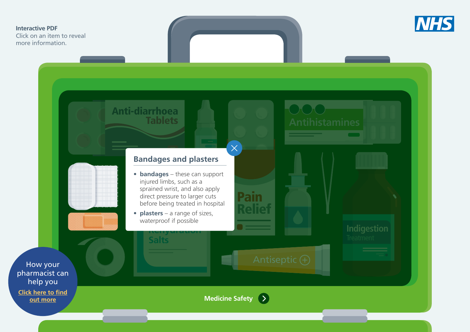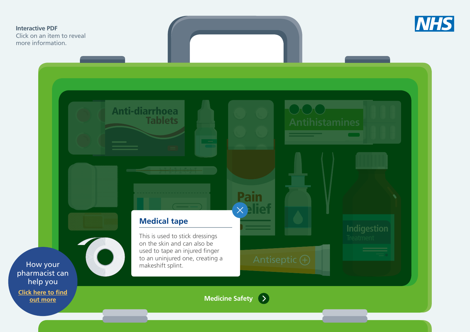<span id="page-4-0"></span>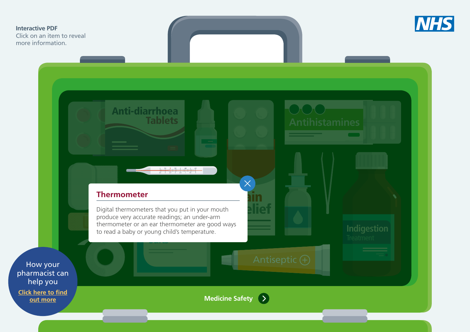<span id="page-5-0"></span>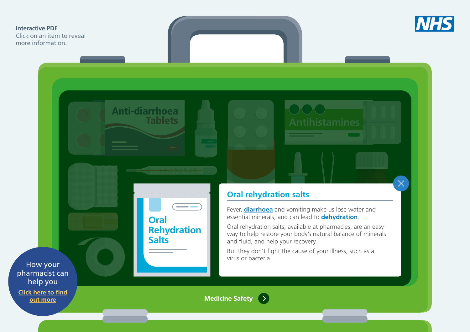<span id="page-6-0"></span>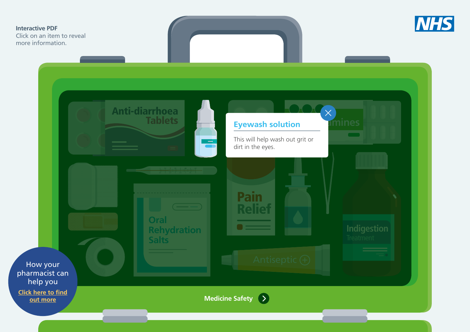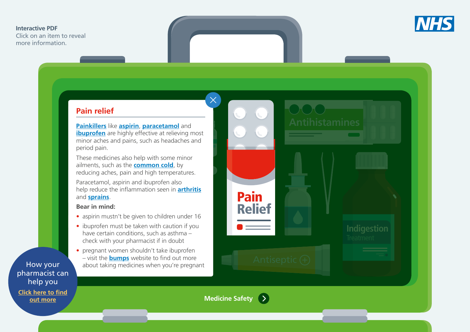<span id="page-8-0"></span>Click on an item to reveal more information.

[pharmacist can](#page-14-0)  help you **[Click here to find](#page-14-0) [out more](#page-14-0)**



#### $\mathbf{f}$  and diarrhoead  $\mathbf{f}$ **Pain relief**

Tablets **[Painkillers](https://www.nhs.uk/Livewell/Pain/Pages/Whichpainkiller.aspx)** like **[aspirin](https://www.nhs.uk/conditions/aspirin/)**, **[paracetamol](https://www.nhs.uk/conditions/paracetamol/)** and **[ibuprofen](https://www.nhs.uk/conditions/ibuprofen/)** are highly effective at relieving most minor aches and pains, such as headaches and period pain.

These medicines also help with some minor ailments, such as the **[common cold](https://www.nhs.uk/conditions/common-cold/)**, by reducing aches, p[ain and high temperatures.](#page-5-0)

Paracetamol, aspirin and ibuprofen also help reduce the inflammation seen in **[arthritis](https://www.nhs.uk/conditions/arthritis/)** and **[sprains](https://www.nhs.uk/conditions/sprains-and-strains/)**.

#### **Bear in mind:**

- aspirin mustn't be given to children under 16
- aspirin mustri t be given to children under To<br>• ibuprofen must be taken with caution if you **Rehydration**  have certain conditions, such as asthma – **Salts** [check with your p](#page-4-0)harmacist if in doubt
- pregnant women shouldn't take ibuprofen – visit the **[bumps](http://www.medicinesinpregnancy.org/Medicine--pregnancy/)** website to find out more How your about taking medicines when you're pregnant



**Medicine Safety** $\bullet$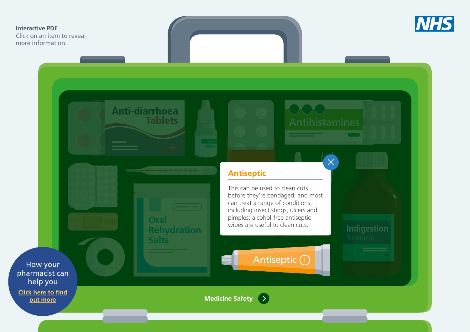<span id="page-9-0"></span>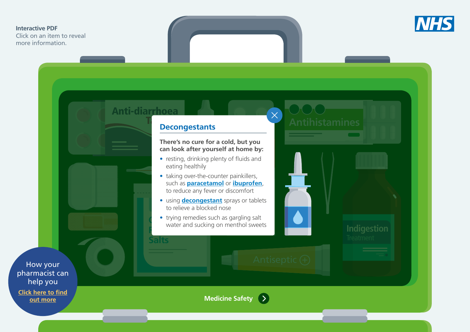Click on an item to reveal more information.



**Indigestion** 

**Antihistamines Decongestants**

# Decongestants

Anti-diarrhoea

**Salts**

#### **There's no cure for a cold, but you can look after yourself at home by:**

- resting, drinking plenty of fluids and [eating healthily](#page-5-0)
- taking over-the-counter painkillers, such as **[paracetamol](https://www.nhs.uk/conditions/paracetamol/)** or **[ibuprofen](https://www.nhs.uk/conditions/ibuprofen/)**, to reduce any fever or discomfort
- **using <b>[decongestant](https://www.nhs.uk/conditions/decongestants/)** sprays or tablets to relieve a blocked nose<br>• trying remedies such as gargling salt to relieve a blocked nose
- **Oral Reference in American Strategier Strategier Strategier Strategier Strategier Strategier Strategier Strategier Strategier Strategier Strategier Strategier Strategier Strategier Strategier Strategier Strategier Strategier S**

How your [pharmacist can](#page-14-0)  help you **[Click here to find](#page-14-0)**

**[out more](#page-14-0)**

**Medicine Safety** >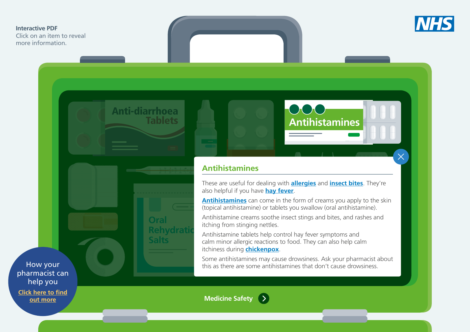<span id="page-11-0"></span>Click on an item to reveal more information.



 $\times$ 



**Oral**

**Salts**

**Rehvdrati** 



# **[Antih](#page-5-0)istamines**

These are useful for dealing with **[allergies](https://www.nhs.uk/conditions/allergies/)** and **[insect bites](https://www.nhs.uk/conditions/insect-bites-and-stings/)**. They're also helpful if you have **[hay fever](https://www.nhs.uk/conditions/hay-fever/)**.

also helprum you have **<u>nay rever</u>.**<br><mark>[Antihistamines](https://www.nhs.uk/conditions/antihistamines/)</mark> can come in the form of creams you apply to the skin (topical antihistamine) or tablets you swallow (oral antihistamine).

Antihistamine creams soothe insect stings and bites, and rashes and itching from stinging nettles.

Itching from sunging nettles.<br>Antihistamine tablets help control hay fever symptoms and Antimistamine tablets help control hay lever symptoms and<br>calm minor allergic reactions to food. They can also help calm itchiness during **[chickenpox](https://www.nhs.uk/conditions/chickenpox/)**.

Some antihistamines may cause drowsiness. Ask your pharmacist about this as there are some antihistamines that don't cause drowsiness.

How your [pharmacist can](#page-14-0)  help you

**[Click here to find](#page-14-0) [out more](#page-14-0)**

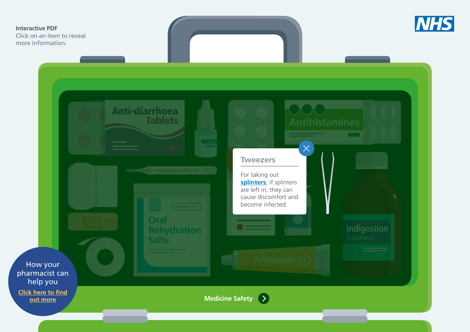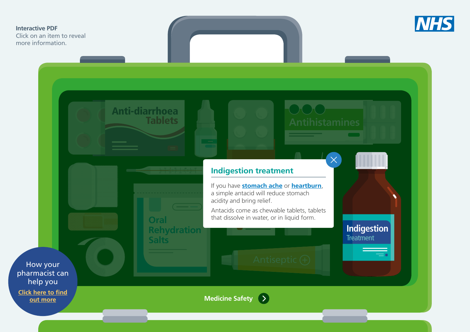<span id="page-13-0"></span>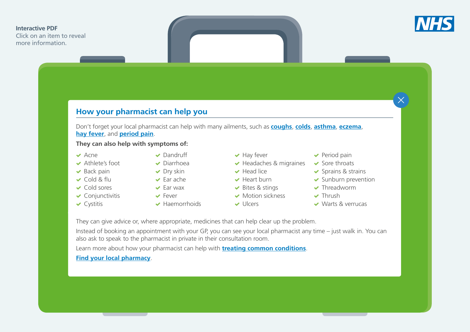<span id="page-14-0"></span>Click on an item to reveal more information.



 $\times$ 

# **How your pharmacist can help you**

Don't forget your local pharmacist can help with many ailments, such as **[coughs](https://www.nhs.uk/conditions/cough/)**, **[colds](https://www.nhs.uk/conditions/common-cold/)**, **[asthma](https://www.nhs.uk/conditions/asthma/)**, **[eczema](https://www.nhs.uk/conditions/atopic-eczema/)**, **[hay fever](https://www.nhs.uk/conditions/hay-fever/)**, and **[period pain](https://www.nhs.uk/conditions/period-pain/)**.

#### **They can also help with symptoms of:**

- $\vee$  Acne
- Athlete's foot
- $\blacktriangleright$  Back pain
- Cold & flu
- Cold sores
- $\checkmark$  Conjunctivitis
- $\vee$  Cystitis

 $\blacktriangleright$  Far wax **V** Fever

**◆** Dandruff Diarrhoea  $\blacktriangleright$  Dry skin  $\blacktriangleright$  Ear ache

Haemorrhoids

- $\blacktriangleright$  Hay fever
- $\blacktriangleright$  Headaches & migraines Head lice
- 
- $\blacktriangleright$  Heart burn
- ◆ Bites & stings
- Motion sickness  $U$ llcers
	-
- $\blacktriangleright$  Period pain
- Sore throats
- $\triangleright$  Sprains & strains
- $\blacktriangleright$  Sunburn prevention
- **v** Threadworm
- **v** Thrush
- Warts & verrucas

They can give advice or, where appropriate, medicines that can help clear up the problem.

Instead of booking an appointment with your GP, you can see your local pharmacist any time – just walk in. You can also ask to speak to the pharmacist in private in their consultation room.

Learn more about how your pharmacist can help with **[treating common conditions](https://www.nhs.uk/Livewell/Pharmacy/Pages/Commonconditions.aspx)**.

#### **[Find your local pharmacy](https://www.nhs.uk/Service-Search/Pharmacy/LocationSearch/10)**.